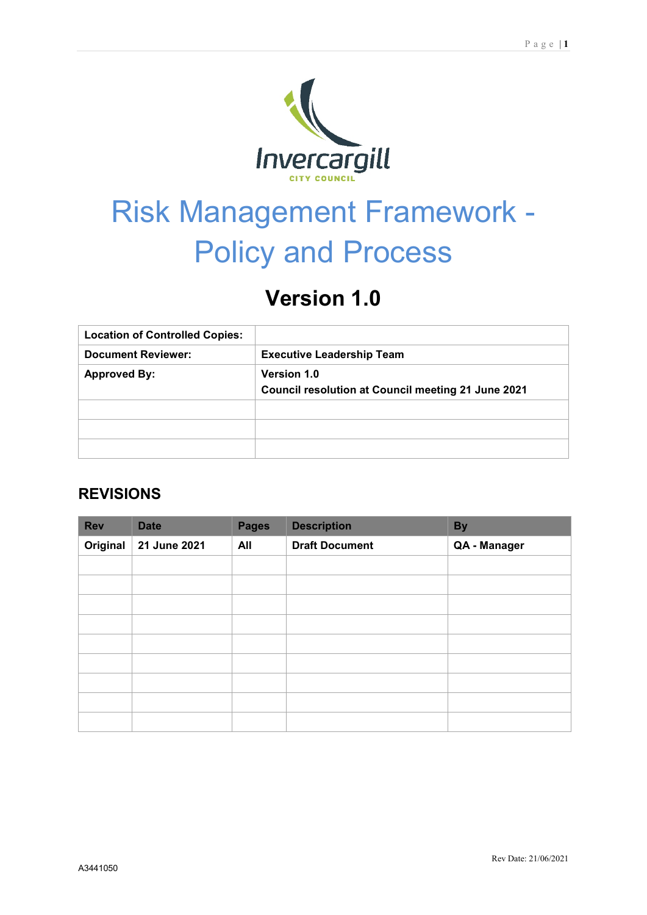

# Risk Management Framework - Policy and Process

# **Version 1.0**

| <b>Location of Controlled Copies:</b> |                                                                          |
|---------------------------------------|--------------------------------------------------------------------------|
| <b>Document Reviewer:</b>             | <b>Executive Leadership Team</b>                                         |
| <b>Approved By:</b>                   | <b>Version 1.0</b><br>Council resolution at Council meeting 21 June 2021 |
|                                       |                                                                          |
|                                       |                                                                          |
|                                       |                                                                          |

## **REVISIONS**

| <b>Rev</b> | <b>Date</b>  | <b>Pages</b> | <b>Description</b>    | <b>By</b>    |
|------------|--------------|--------------|-----------------------|--------------|
| Original   | 21 June 2021 | All          | <b>Draft Document</b> | QA - Manager |
|            |              |              |                       |              |
|            |              |              |                       |              |
|            |              |              |                       |              |
|            |              |              |                       |              |
|            |              |              |                       |              |
|            |              |              |                       |              |
|            |              |              |                       |              |
|            |              |              |                       |              |
|            |              |              |                       |              |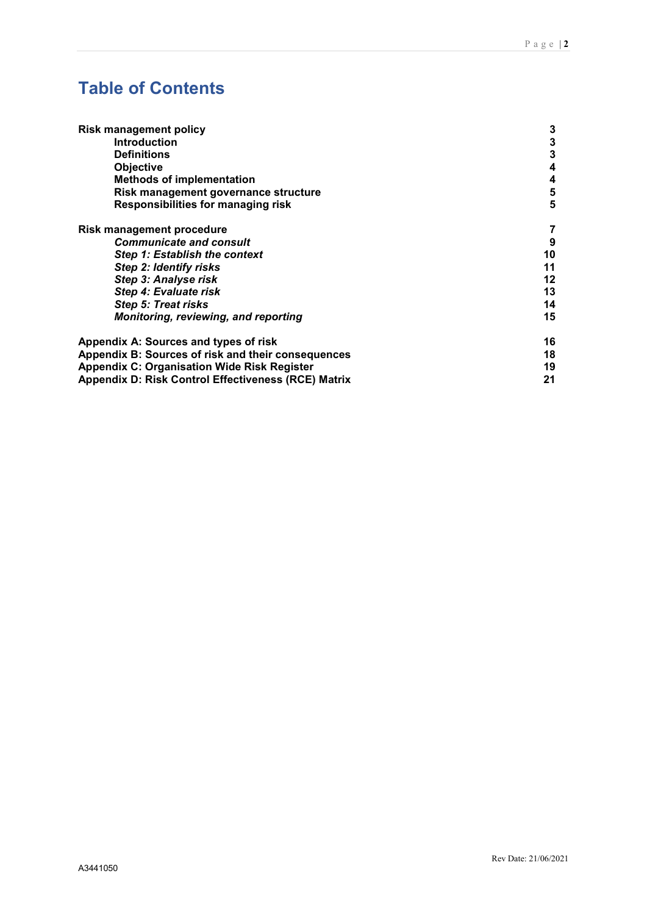# **Table of Contents**

| <b>Risk management policy</b>                              | 3  |
|------------------------------------------------------------|----|
| <b>Introduction</b>                                        | 3  |
| <b>Definitions</b>                                         | 3  |
| <b>Objective</b>                                           | 4  |
| <b>Methods of implementation</b>                           | 4  |
| Risk management governance structure                       | 5  |
| <b>Responsibilities for managing risk</b>                  | 5  |
| <b>Risk management procedure</b>                           | 7  |
| <b>Communicate and consult</b>                             | 9  |
| Step 1: Establish the context                              | 10 |
| Step 2: Identify risks                                     | 11 |
| Step 3: Analyse risk                                       | 12 |
| Step 4: Evaluate risk                                      | 13 |
| Step 5: Treat risks                                        | 14 |
| <b>Monitoring, reviewing, and reporting</b>                | 15 |
| Appendix A: Sources and types of risk                      | 16 |
| Appendix B: Sources of risk and their consequences         | 18 |
| <b>Appendix C: Organisation Wide Risk Register</b>         | 19 |
| <b>Appendix D: Risk Control Effectiveness (RCE) Matrix</b> | 21 |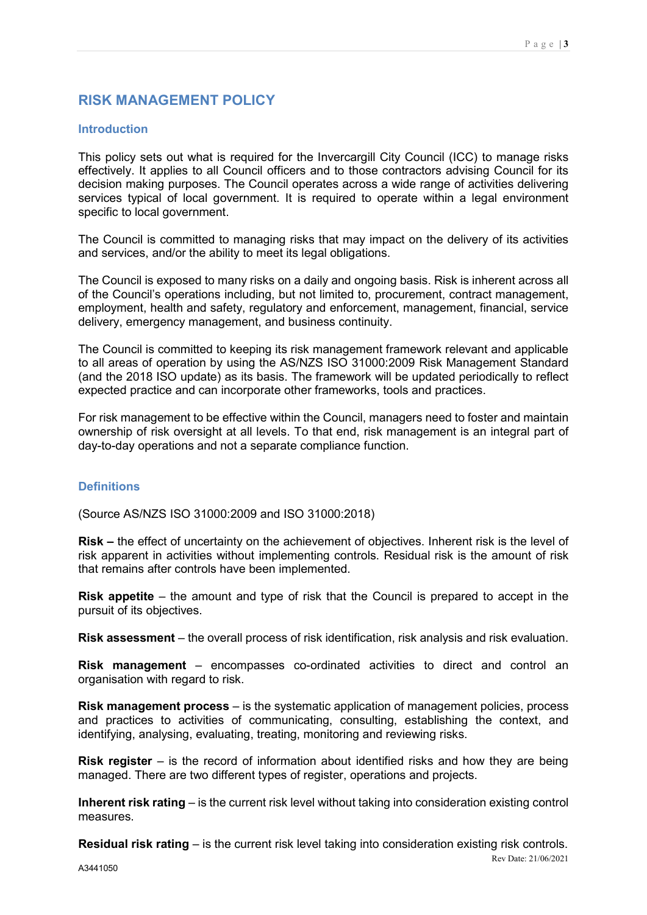### <span id="page-2-0"></span>**RISK MANAGEMENT POLICY**

#### <span id="page-2-1"></span>**Introduction**

This policy sets out what is required for the Invercargill City Council (ICC) to manage risks effectively. It applies to all Council officers and to those contractors advising Council for its decision making purposes. The Council operates across a wide range of activities delivering services typical of local government. It is required to operate within a legal environment specific to local government.

The Council is committed to managing risks that may impact on the delivery of its activities and services, and/or the ability to meet its legal obligations.

The Council is exposed to many risks on a daily and ongoing basis. Risk is inherent across all of the Council's operations including, but not limited to, procurement, contract management, employment, health and safety, regulatory and enforcement, management, financial, service delivery, emergency management, and business continuity.

The Council is committed to keeping its risk management framework relevant and applicable to all areas of operation by using the AS/NZS ISO 31000:2009 Risk Management Standard (and the 2018 ISO update) as its basis. The framework will be updated periodically to reflect expected practice and can incorporate other frameworks, tools and practices.

For risk management to be effective within the Council, managers need to foster and maintain ownership of risk oversight at all levels. To that end, risk management is an integral part of day-to-day operations and not a separate compliance function.

#### <span id="page-2-2"></span>**Definitions**

(Source AS/NZS ISO 31000:2009 and ISO 31000:2018)

**Risk –** the effect of uncertainty on the achievement of objectives. Inherent risk is the level of risk apparent in activities without implementing controls. Residual risk is the amount of risk that remains after controls have been implemented.

**Risk appetite** – the amount and type of risk that the Council is prepared to accept in the pursuit of its objectives.

**Risk assessment** – the overall process of risk identification, risk analysis and risk evaluation.

**Risk management** – encompasses co-ordinated activities to direct and control an organisation with regard to risk.

**Risk management process** – is the systematic application of management policies, process and practices to activities of communicating, consulting, establishing the context, and identifying, analysing, evaluating, treating, monitoring and reviewing risks.

**Risk register** – is the record of information about identified risks and how they are being managed. There are two different types of register, operations and projects.

**Inherent risk rating** – is the current risk level without taking into consideration existing control measures.

**Residual risk rating** – is the current risk level taking into consideration existing risk controls.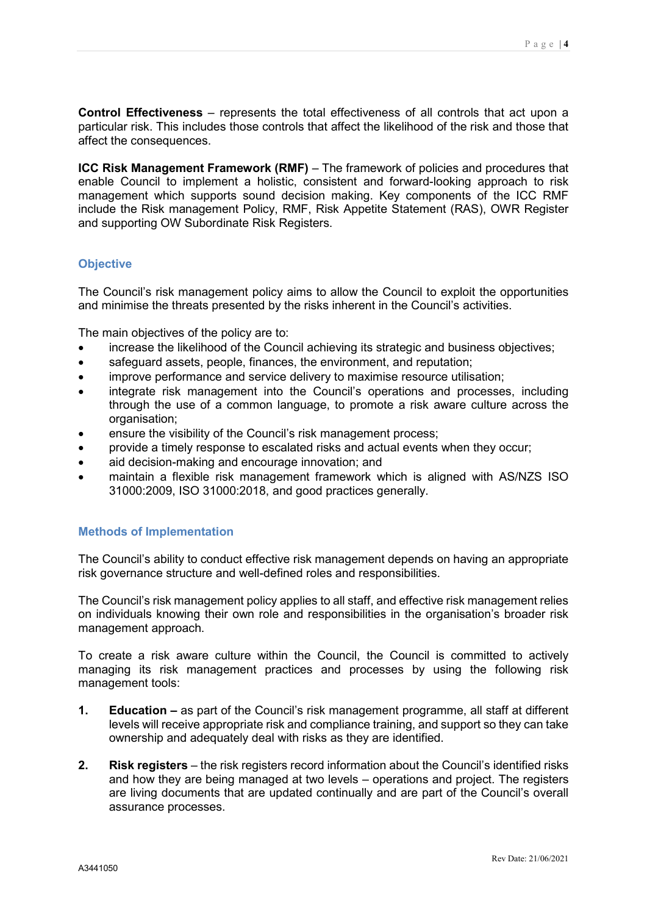**Control Effectiveness** – represents the total effectiveness of all controls that act upon a particular risk. This includes those controls that affect the likelihood of the risk and those that affect the consequences.

**ICC Risk Management Framework (RMF)** – The framework of policies and procedures that enable Council to implement a holistic, consistent and forward-looking approach to risk management which supports sound decision making. Key components of the ICC RMF include the Risk management Policy, RMF, Risk Appetite Statement (RAS), OWR Register and supporting OW Subordinate Risk Registers.

#### <span id="page-3-0"></span>**Objective**

The Council's risk management policy aims to allow the Council to exploit the opportunities and minimise the threats presented by the risks inherent in the Council's activities.

The main objectives of the policy are to:

- increase the likelihood of the Council achieving its strategic and business objectives;
- safeguard assets, people, finances, the environment, and reputation;
- improve performance and service delivery to maximise resource utilisation:
- integrate risk management into the Council's operations and processes, including through the use of a common language, to promote a risk aware culture across the organisation;
- ensure the visibility of the Council's risk management process;
- provide a timely response to escalated risks and actual events when they occur;
- aid decision-making and encourage innovation; and
- maintain a flexible risk management framework which is aligned with AS/NZS ISO 31000:2009, ISO 31000:2018, and good practices generally.

#### <span id="page-3-1"></span>**Methods of Implementation**

The Council's ability to conduct effective risk management depends on having an appropriate risk governance structure and well-defined roles and responsibilities.

The Council's risk management policy applies to all staff, and effective risk management relies on individuals knowing their own role and responsibilities in the organisation's broader risk management approach.

To create a risk aware culture within the Council, the Council is committed to actively managing its risk management practices and processes by using the following risk management tools:

- **1. Education –** as part of the Council's risk management programme, all staff at different levels will receive appropriate risk and compliance training, and support so they can take ownership and adequately deal with risks as they are identified.
- **2. Risk registers** the risk registers record information about the Council's identified risks and how they are being managed at two levels – operations and project. The registers are living documents that are updated continually and are part of the Council's overall assurance processes.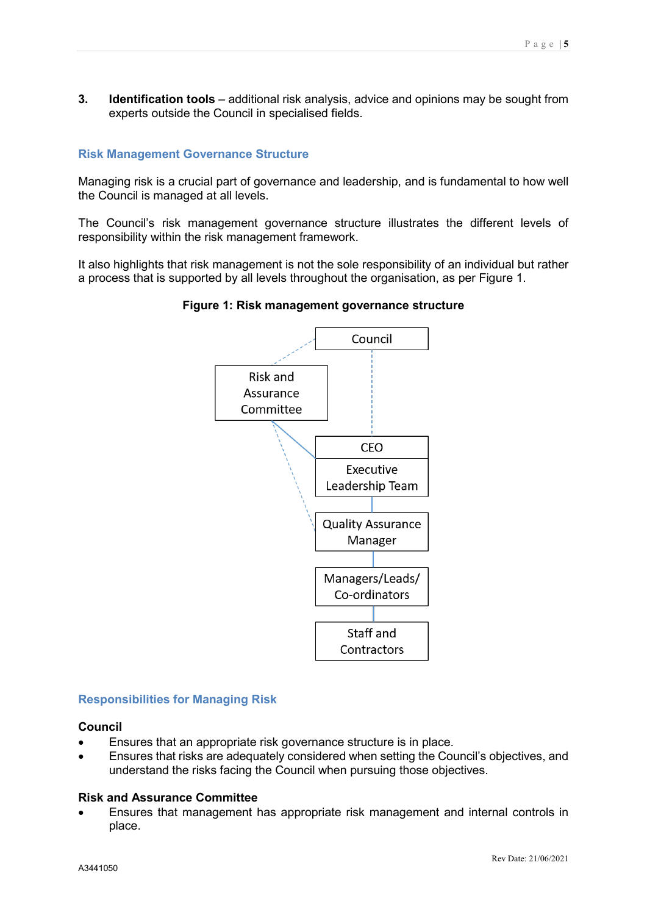**3. Identification tools** – additional risk analysis, advice and opinions may be sought from experts outside the Council in specialised fields.

#### <span id="page-4-0"></span>**Risk Management Governance Structure**

Managing risk is a crucial part of governance and leadership, and is fundamental to how well the Council is managed at all levels.

The Council's risk management governance structure illustrates the different levels of responsibility within the risk management framework.

It also highlights that risk management is not the sole responsibility of an individual but rather a process that is supported by all levels throughout the organisation, as per Figure 1.



#### **Figure 1: Risk management governance structure**

#### <span id="page-4-1"></span>**Responsibilities for Managing Risk**

#### **Council**

- Ensures that an appropriate risk governance structure is in place.
- Ensures that risks are adequately considered when setting the Council's objectives, and understand the risks facing the Council when pursuing those objectives.

#### **Risk and Assurance Committee**

• Ensures that management has appropriate risk management and internal controls in place.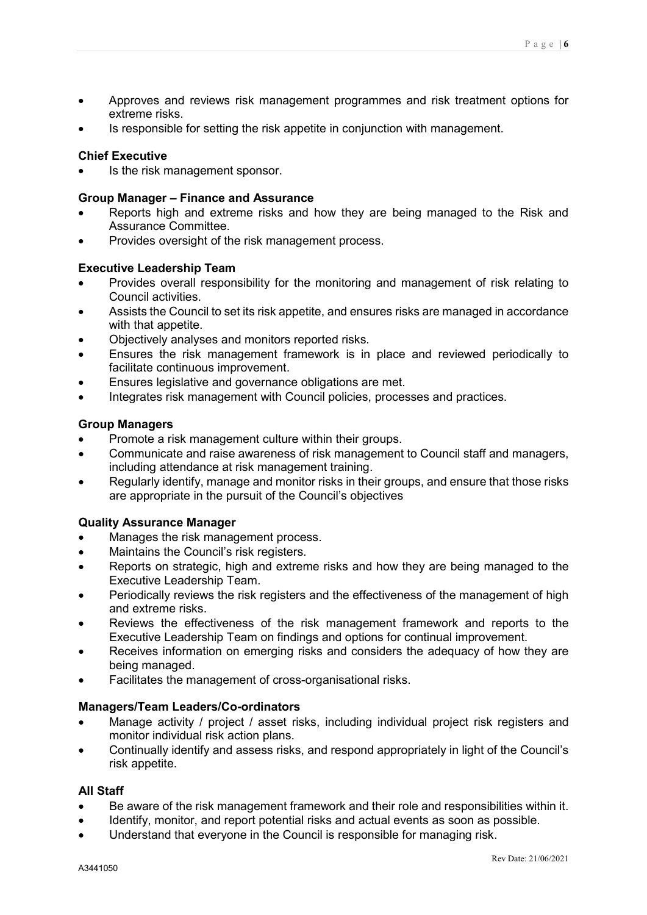- Approves and reviews risk management programmes and risk treatment options for extreme risks.
- Is responsible for setting the risk appetite in conjunction with management.

#### **Chief Executive**

Is the risk management sponsor.

#### **Group Manager – Finance and Assurance**

- Reports high and extreme risks and how they are being managed to the Risk and Assurance Committee.
- Provides oversight of the risk management process.

#### **Executive Leadership Team**

- Provides overall responsibility for the monitoring and management of risk relating to Council activities.
- Assists the Council to set its risk appetite, and ensures risks are managed in accordance with that appetite.
- Objectively analyses and monitors reported risks.
- Ensures the risk management framework is in place and reviewed periodically to facilitate continuous improvement.
- Ensures legislative and governance obligations are met.
- Integrates risk management with Council policies, processes and practices.

#### **Group Managers**

- Promote a risk management culture within their groups.
- Communicate and raise awareness of risk management to Council staff and managers, including attendance at risk management training.
- Regularly identify, manage and monitor risks in their groups, and ensure that those risks are appropriate in the pursuit of the Council's objectives

#### **Quality Assurance Manager**

- Manages the risk management process.
- Maintains the Council's risk registers.
- Reports on strategic, high and extreme risks and how they are being managed to the Executive Leadership Team.
- Periodically reviews the risk registers and the effectiveness of the management of high and extreme risks.
- Reviews the effectiveness of the risk management framework and reports to the Executive Leadership Team on findings and options for continual improvement.
- Receives information on emerging risks and considers the adequacy of how they are being managed.
- Facilitates the management of cross-organisational risks.

#### **Managers/Team Leaders/Co-ordinators**

- Manage activity / project / asset risks, including individual project risk registers and monitor individual risk action plans.
- Continually identify and assess risks, and respond appropriately in light of the Council's risk appetite.

#### **All Staff**

- Be aware of the risk management framework and their role and responsibilities within it.
- Identify, monitor, and report potential risks and actual events as soon as possible.
- Understand that everyone in the Council is responsible for managing risk.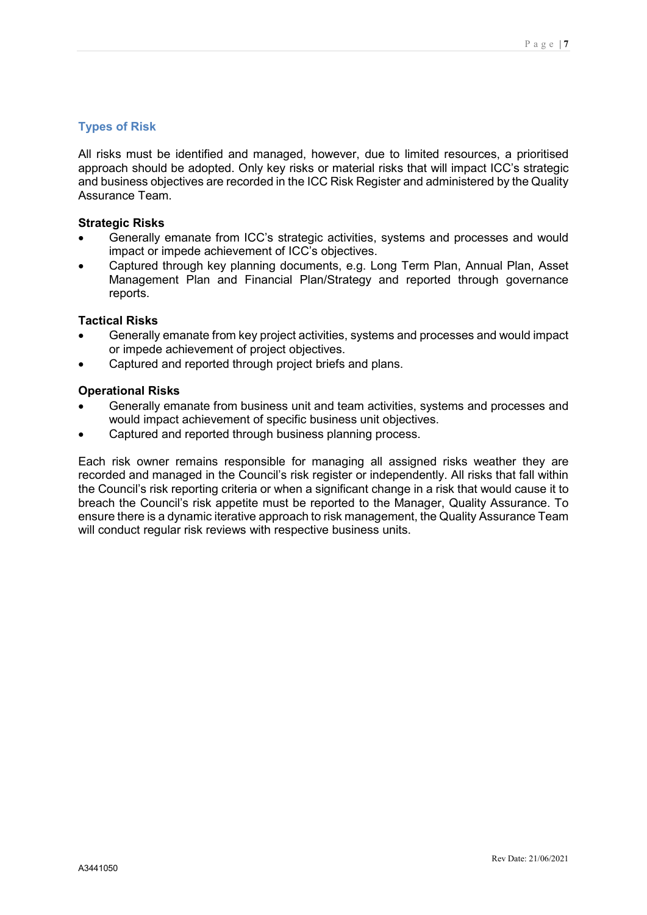#### <span id="page-6-0"></span>**Types of Risk**

All risks must be identified and managed, however, due to limited resources, a prioritised approach should be adopted. Only key risks or material risks that will impact ICC's strategic and business objectives are recorded in the ICC Risk Register and administered by the Quality Assurance Team.

#### **Strategic Risks**

- Generally emanate from ICC's strategic activities, systems and processes and would impact or impede achievement of ICC's objectives.
- Captured through key planning documents, e.g. Long Term Plan, Annual Plan, Asset Management Plan and Financial Plan/Strategy and reported through governance reports.

#### **Tactical Risks**

- Generally emanate from key project activities, systems and processes and would impact or impede achievement of project objectives.
- Captured and reported through project briefs and plans.

#### **Operational Risks**

- Generally emanate from business unit and team activities, systems and processes and would impact achievement of specific business unit objectives.
- Captured and reported through business planning process.

Each risk owner remains responsible for managing all assigned risks weather they are recorded and managed in the Council's risk register or independently. All risks that fall within the Council's risk reporting criteria or when a significant change in a risk that would cause it to breach the Council's risk appetite must be reported to the Manager, Quality Assurance. To ensure there is a dynamic iterative approach to risk management, the Quality Assurance Team will conduct regular risk reviews with respective business units.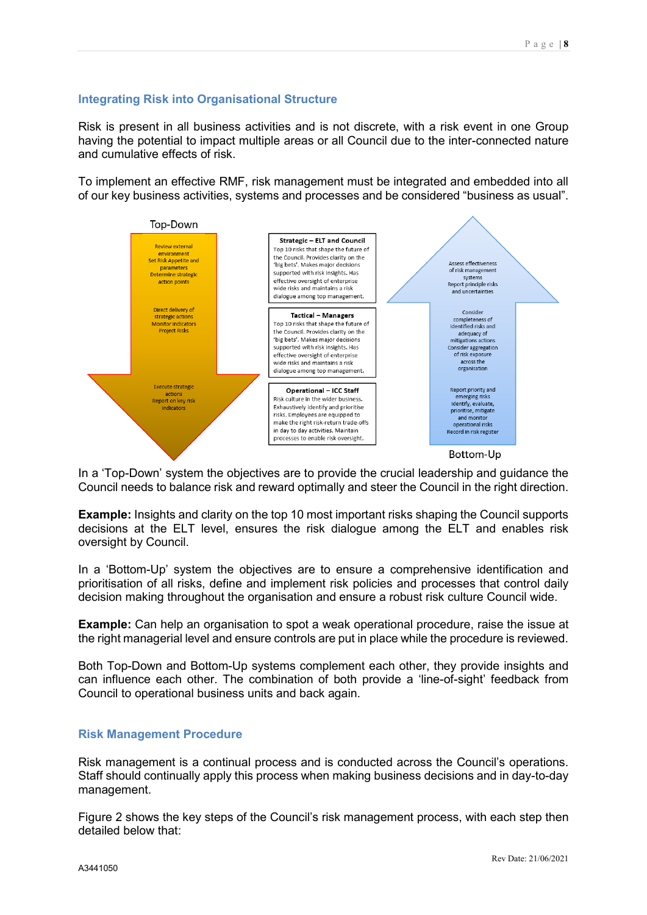#### **Integrating Risk into Organisational Structure**

Risk is present in all business activities and is not discrete, with a risk event in one Group having the potential to impact multiple areas or all Council due to the inter-connected nature and cumulative effects of risk.

To implement an effective RMF, risk management must be integrated and embedded into all of our key business activities, systems and processes and be considered "business as usual".



In a 'Top-Down' system the objectives are to provide the crucial leadership and guidance the Council needs to balance risk and reward optimally and steer the Council in the right direction.

**Example:** Insights and clarity on the top 10 most important risks shaping the Council supports decisions at the ELT level, ensures the risk dialogue among the ELT and enables risk oversight by Council.

In a 'Bottom-Up' system the objectives are to ensure a comprehensive identification and prioritisation of all risks, define and implement risk policies and processes that control daily decision making throughout the organisation and ensure a robust risk culture Council wide.

**Example:** Can help an organisation to spot a weak operational procedure, raise the issue at the right managerial level and ensure controls are put in place while the procedure is reviewed.

Both Top-Down and Bottom-Up systems complement each other, they provide insights and can influence each other. The combination of both provide a 'line-of-sight' feedback from Council to operational business units and back again.

#### **Risk Management Procedure**

Risk management is a continual process and is conducted across the Council's operations. Staff should continually apply this process when making business decisions and in day-to-day management.

Figure 2 shows the key steps of the Council's risk management process, with each step then detailed below that: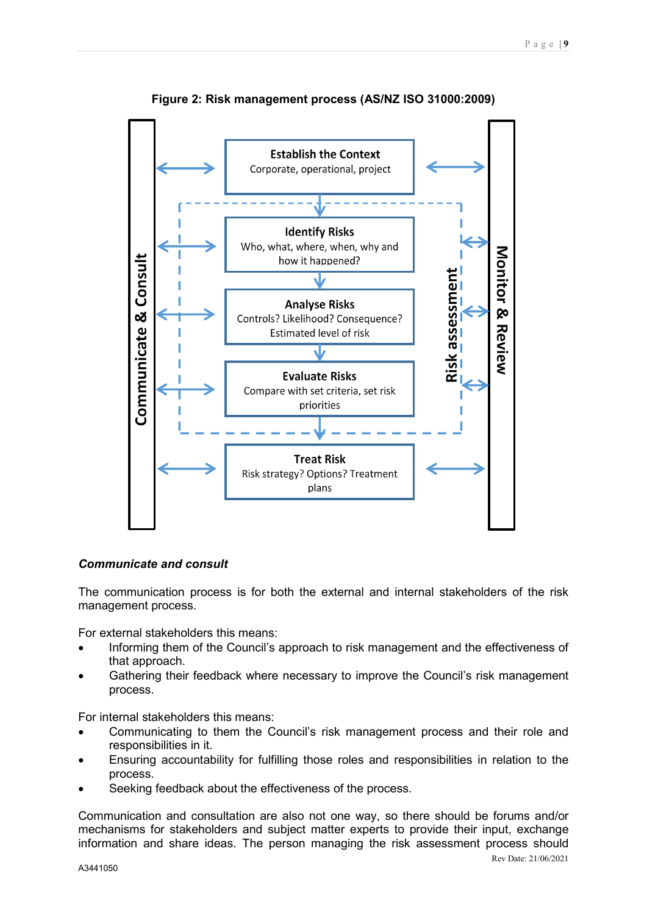

**Figure 2: Risk management process (AS/NZ ISO 31000:2009)**

#### <span id="page-8-0"></span>*Communicate and consult*

The communication process is for both the external and internal stakeholders of the risk management process.

For external stakeholders this means:

- Informing them of the Council's approach to risk management and the effectiveness of that approach.
- Gathering their feedback where necessary to improve the Council's risk management process.

For internal stakeholders this means:

- Communicating to them the Council's risk management process and their role and responsibilities in it.
- Ensuring accountability for fulfilling those roles and responsibilities in relation to the process.
- Seeking feedback about the effectiveness of the process.

Communication and consultation are also not one way, so there should be forums and/or mechanisms for stakeholders and subject matter experts to provide their input, exchange information and share ideas. The person managing the risk assessment process should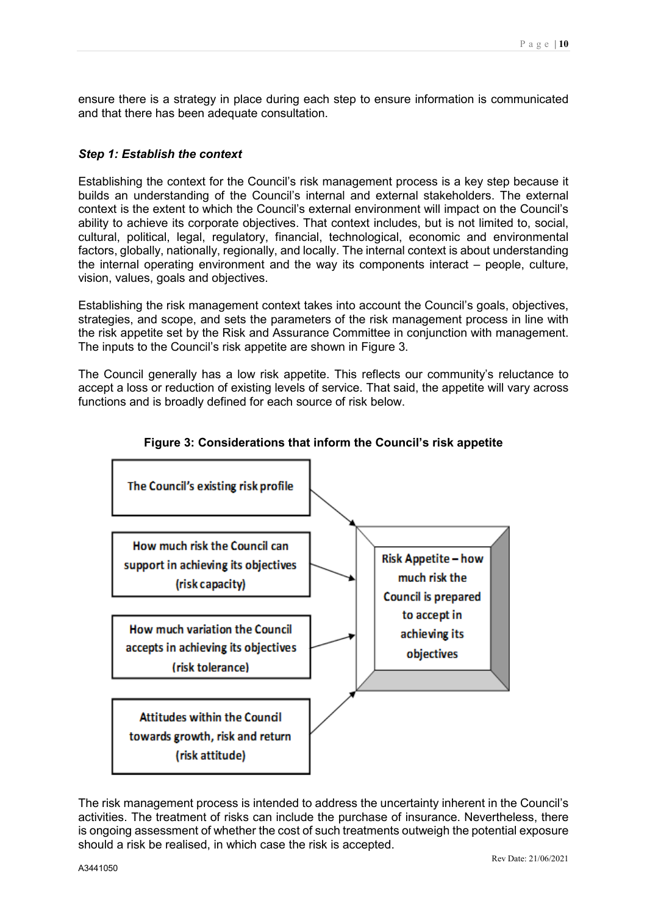ensure there is a strategy in place during each step to ensure information is communicated and that there has been adequate consultation.

#### <span id="page-9-0"></span>*Step 1: Establish the context*

Establishing the context for the Council's risk management process is a key step because it builds an understanding of the Council's internal and external stakeholders. The external context is the extent to which the Council's external environment will impact on the Council's ability to achieve its corporate objectives. That context includes, but is not limited to, social, cultural, political, legal, regulatory, financial, technological, economic and environmental factors, globally, nationally, regionally, and locally. The internal context is about understanding the internal operating environment and the way its components interact – people, culture, vision, values, goals and objectives.

Establishing the risk management context takes into account the Council's goals, objectives, strategies, and scope, and sets the parameters of the risk management process in line with the risk appetite set by the Risk and Assurance Committee in conjunction with management. The inputs to the Council's risk appetite are shown in Figure 3.

The Council generally has a low risk appetite. This reflects our community's reluctance to accept a loss or reduction of existing levels of service. That said, the appetite will vary across functions and is broadly defined for each source of risk below.



#### **Figure 3: Considerations that inform the Council's risk appetite**

The risk management process is intended to address the uncertainty inherent in the Council's activities. The treatment of risks can include the purchase of insurance. Nevertheless, there is ongoing assessment of whether the cost of such treatments outweigh the potential exposure should a risk be realised, in which case the risk is accepted.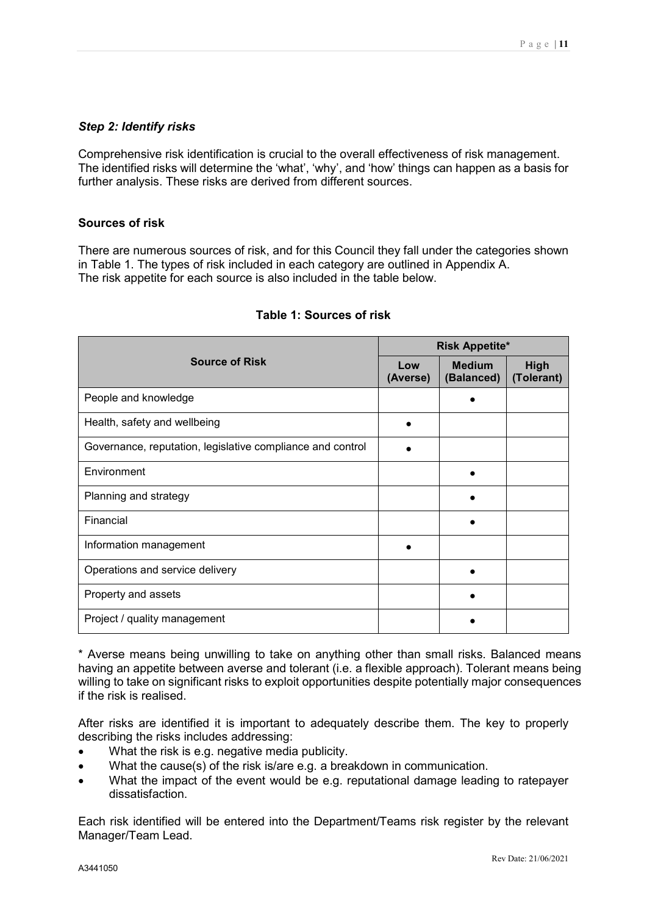#### <span id="page-10-0"></span>*Step 2: Identify risks*

Comprehensive risk identification is crucial to the overall effectiveness of risk management. The identified risks will determine the 'what', 'why', and 'how' things can happen as a basis for further analysis. These risks are derived from different sources.

#### **Sources of risk**

There are numerous sources of risk, and for this Council they fall under the categories shown in Table 1. The types of risk included in each category are outlined in Appendix A. The risk appetite for each source is also included in the table below.

|                                                            | <b>Risk Appetite*</b> |                             |                    |  |
|------------------------------------------------------------|-----------------------|-----------------------------|--------------------|--|
| <b>Source of Risk</b>                                      | Low<br>(Averse)       | <b>Medium</b><br>(Balanced) | High<br>(Tolerant) |  |
| People and knowledge                                       |                       |                             |                    |  |
| Health, safety and wellbeing                               |                       |                             |                    |  |
| Governance, reputation, legislative compliance and control |                       |                             |                    |  |
| Environment                                                |                       |                             |                    |  |
| Planning and strategy                                      |                       |                             |                    |  |
| Financial                                                  |                       |                             |                    |  |
| Information management                                     |                       |                             |                    |  |
| Operations and service delivery                            |                       |                             |                    |  |
| Property and assets                                        |                       |                             |                    |  |
| Project / quality management                               |                       |                             |                    |  |

#### **Table 1: Sources of risk**

\* Averse means being unwilling to take on anything other than small risks. Balanced means having an appetite between averse and tolerant (i.e. a flexible approach). Tolerant means being willing to take on significant risks to exploit opportunities despite potentially major consequences if the risk is realised.

After risks are identified it is important to adequately describe them. The key to properly describing the risks includes addressing:

- What the risk is e.g. negative media publicity.
- What the cause(s) of the risk is/are e.g. a breakdown in communication.
- What the impact of the event would be e.g. reputational damage leading to ratepayer dissatisfaction.

Each risk identified will be entered into the Department/Teams risk register by the relevant Manager/Team Lead.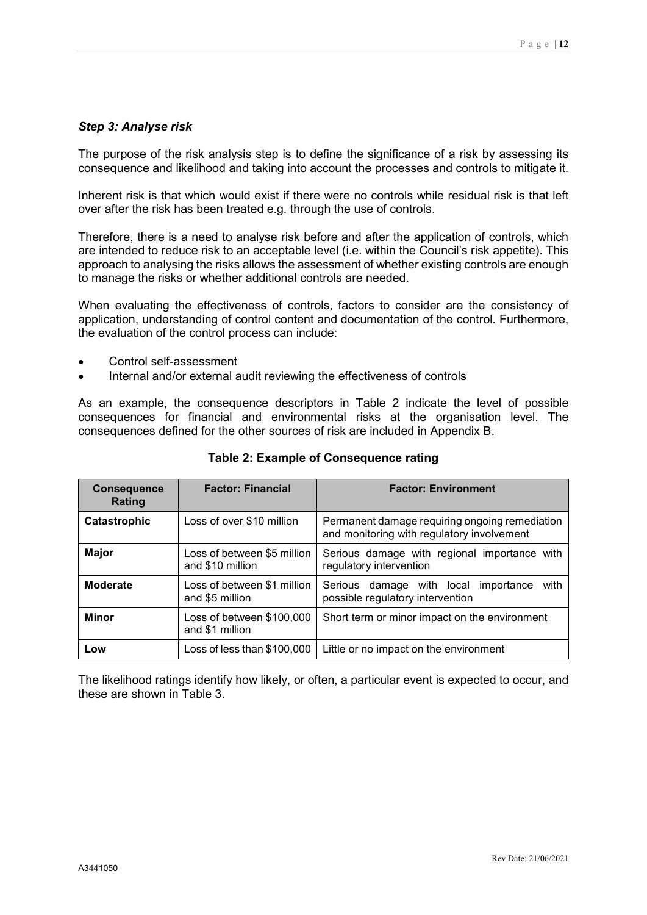#### <span id="page-11-0"></span>*Step 3: Analyse risk*

The purpose of the risk analysis step is to define the significance of a risk by assessing its consequence and likelihood and taking into account the processes and controls to mitigate it.

Inherent risk is that which would exist if there were no controls while residual risk is that left over after the risk has been treated e.g. through the use of controls.

Therefore, there is a need to analyse risk before and after the application of controls, which are intended to reduce risk to an acceptable level (i.e. within the Council's risk appetite). This approach to analysing the risks allows the assessment of whether existing controls are enough to manage the risks or whether additional controls are needed.

When evaluating the effectiveness of controls, factors to consider are the consistency of application, understanding of control content and documentation of the control. Furthermore, the evaluation of the control process can include:

- Control self-assessment
- Internal and/or external audit reviewing the effectiveness of controls

As an example, the consequence descriptors in Table 2 indicate the level of possible consequences for financial and environmental risks at the organisation level. The consequences defined for the other sources of risk are included in Appendix B.

| <b>Consequence</b><br>Rating | <b>Factor: Financial</b>                        | <b>Factor: Environment</b>                                                                   |
|------------------------------|-------------------------------------------------|----------------------------------------------------------------------------------------------|
| Catastrophic                 | Loss of over \$10 million                       | Permanent damage requiring ongoing remediation<br>and monitoring with regulatory involvement |
| <b>Major</b>                 | Loss of between \$5 million<br>and \$10 million | Serious damage with regional importance with<br>regulatory intervention                      |
| <b>Moderate</b>              | Loss of between \$1 million<br>and \$5 million  | with<br>Serious damage with local importance<br>possible regulatory intervention             |
| <b>Minor</b>                 | Loss of between \$100,000<br>and \$1 million    | Short term or minor impact on the environment                                                |
| Low                          | Loss of less than \$100,000                     | Little or no impact on the environment                                                       |

**Table 2: Example of Consequence rating**

The likelihood ratings identify how likely, or often, a particular event is expected to occur, and these are shown in Table 3.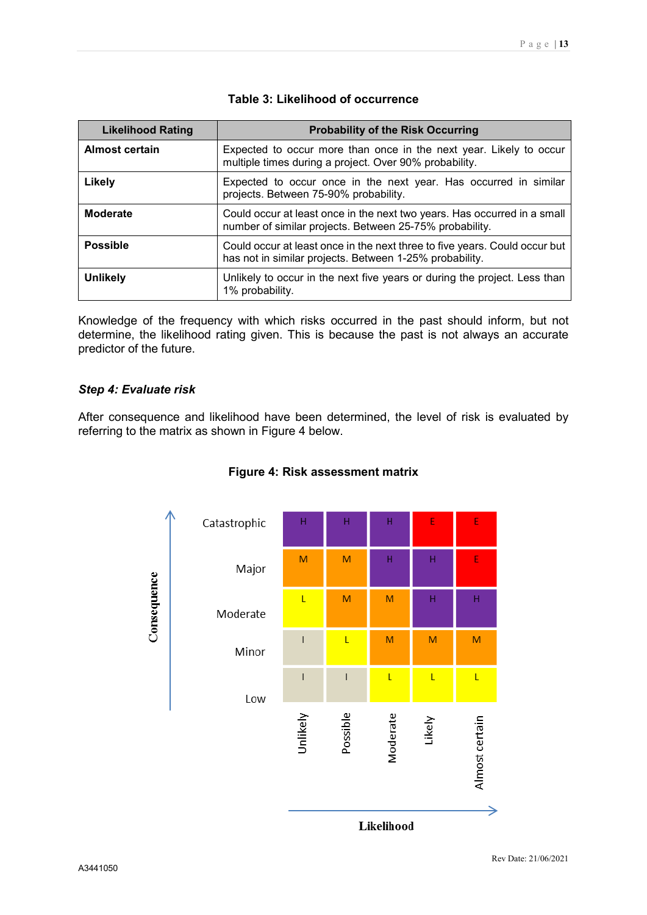| <b>Likelihood Rating</b> | <b>Probability of the Risk Occurring</b>                                                                                              |
|--------------------------|---------------------------------------------------------------------------------------------------------------------------------------|
| <b>Almost certain</b>    | Expected to occur more than once in the next year. Likely to occur<br>multiple times during a project. Over 90% probability.          |
| Likely                   | Expected to occur once in the next year. Has occurred in similar<br>projects. Between 75-90% probability.                             |
| <b>Moderate</b>          | Could occur at least once in the next two years. Has occurred in a small<br>number of similar projects. Between 25-75% probability.   |
| <b>Possible</b>          | Could occur at least once in the next three to five years. Could occur but<br>has not in similar projects. Between 1-25% probability. |
| <b>Unlikely</b>          | Unlikely to occur in the next five years or during the project. Less than<br>1% probability.                                          |

#### **Table 3: Likelihood of occurrence**

Knowledge of the frequency with which risks occurred in the past should inform, but not determine, the likelihood rating given. This is because the past is not always an accurate predictor of the future.

#### <span id="page-12-0"></span>*Step 4: Evaluate risk*

After consequence and likelihood have been determined, the level of risk is evaluated by referring to the matrix as shown in Figure 4 below.



#### **Figure 4: Risk assessment matrix**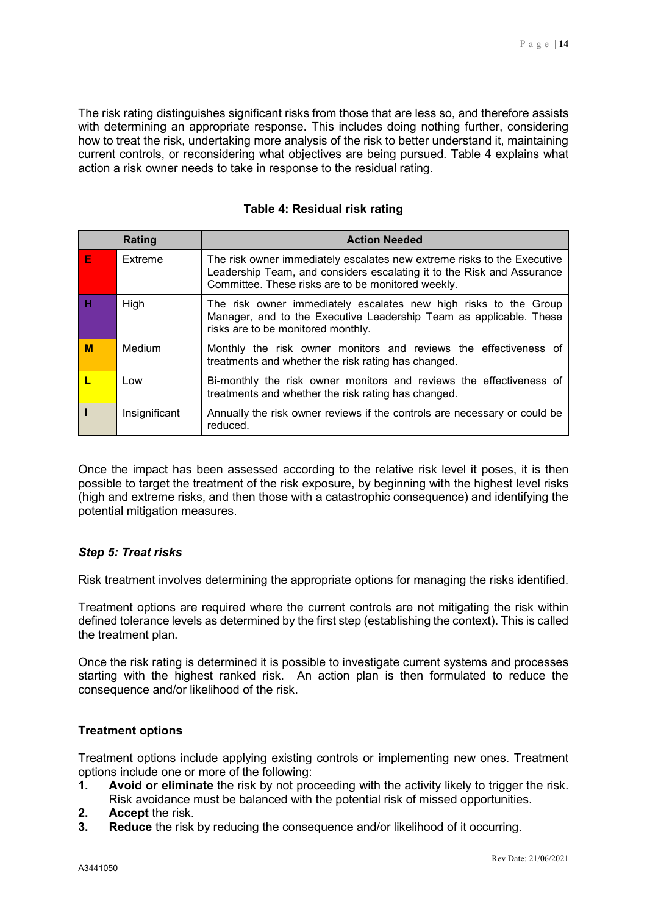The risk rating distinguishes significant risks from those that are less so, and therefore assists with determining an appropriate response. This includes doing nothing further, considering how to treat the risk, undertaking more analysis of the risk to better understand it, maintaining current controls, or reconsidering what objectives are being pursued. Table 4 explains what action a risk owner needs to take in response to the residual rating.

|   | Rating        | <b>Action Needed</b>                                                                                                                                                                                    |
|---|---------------|---------------------------------------------------------------------------------------------------------------------------------------------------------------------------------------------------------|
| Е | Extreme       | The risk owner immediately escalates new extreme risks to the Executive<br>Leadership Team, and considers escalating it to the Risk and Assurance<br>Committee. These risks are to be monitored weekly. |
| н | High          | The risk owner immediately escalates new high risks to the Group<br>Manager, and to the Executive Leadership Team as applicable. These<br>risks are to be monitored monthly.                            |
| М | Medium        | Monthly the risk owner monitors and reviews the effectiveness of<br>treatments and whether the risk rating has changed.                                                                                 |
|   | Low           | Bi-monthly the risk owner monitors and reviews the effectiveness of<br>treatments and whether the risk rating has changed.                                                                              |
|   | Insignificant | Annually the risk owner reviews if the controls are necessary or could be<br>reduced.                                                                                                                   |

#### **Table 4: Residual risk rating**

Once the impact has been assessed according to the relative risk level it poses, it is then possible to target the treatment of the risk exposure, by beginning with the highest level risks (high and extreme risks, and then those with a catastrophic consequence) and identifying the potential mitigation measures.

#### <span id="page-13-0"></span>*Step 5: Treat risks*

Risk treatment involves determining the appropriate options for managing the risks identified.

Treatment options are required where the current controls are not mitigating the risk within defined tolerance levels as determined by the first step (establishing the context). This is called the treatment plan.

Once the risk rating is determined it is possible to investigate current systems and processes starting with the highest ranked risk. An action plan is then formulated to reduce the consequence and/or likelihood of the risk.

#### **Treatment options**

Treatment options include applying existing controls or implementing new ones. Treatment options include one or more of the following:

- **1. Avoid or eliminate** the risk by not proceeding with the activity likely to trigger the risk. Risk avoidance must be balanced with the potential risk of missed opportunities.
- **2. Accept** the risk.<br>**3. Reduce** the risk
- **3. Reduce** the risk by reducing the consequence and/or likelihood of it occurring.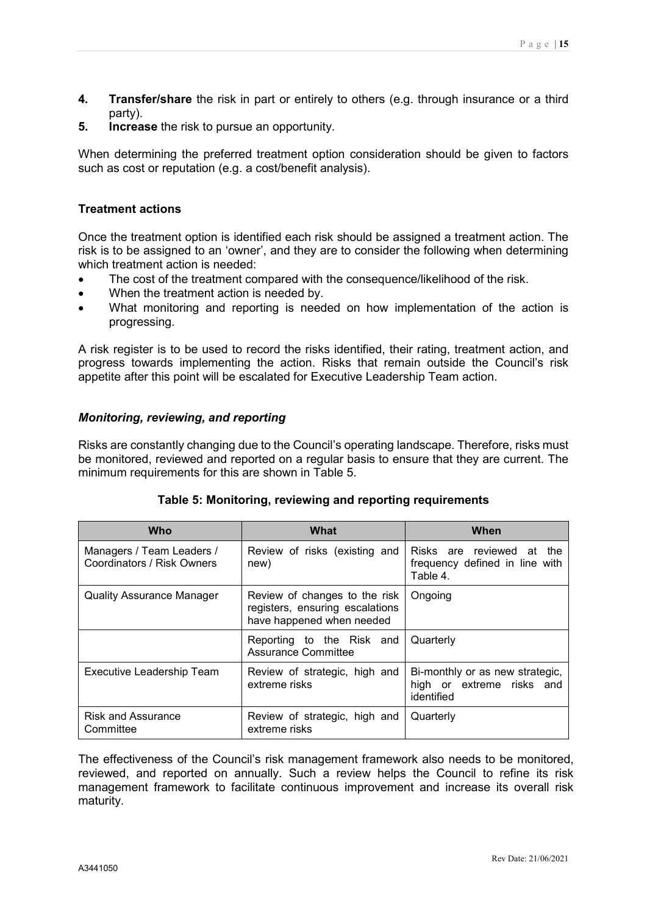- **4. Transfer/share** the risk in part or entirely to others (e.g. through insurance or a third party).
- **5. Increase** the risk to pursue an opportunity.

When determining the preferred treatment option consideration should be given to factors such as cost or reputation (e.g. a cost/benefit analysis).

#### **Treatment actions**

Once the treatment option is identified each risk should be assigned a treatment action. The risk is to be assigned to an 'owner', and they are to consider the following when determining which treatment action is needed:

- The cost of the treatment compared with the consequence/likelihood of the risk.
- When the treatment action is needed by.
- What monitoring and reporting is needed on how implementation of the action is progressing.

A risk register is to be used to record the risks identified, their rating, treatment action, and progress towards implementing the action. Risks that remain outside the Council's risk appetite after this point will be escalated for Executive Leadership Team action.

#### <span id="page-14-0"></span>*Monitoring, reviewing, and reporting*

Risks are constantly changing due to the Council's operating landscape. Therefore, risks must be monitored, reviewed and reported on a regular basis to ensure that they are current. The minimum requirements for this are shown in Table 5.

| <b>Who</b>                                              | <b>What</b>                                                                                   | When                                                                       |
|---------------------------------------------------------|-----------------------------------------------------------------------------------------------|----------------------------------------------------------------------------|
| Managers / Team Leaders /<br>Coordinators / Risk Owners | Review of risks (existing and<br>new)                                                         | Risks are reviewed at<br>the<br>frequency defined in line with<br>Table 4. |
| Quality Assurance Manager                               | Review of changes to the risk<br>registers, ensuring escalations<br>have happened when needed | Ongoing                                                                    |
|                                                         | Reporting to the Risk and<br>Assurance Committee                                              | Quarterly                                                                  |
| Executive Leadership Team                               | Review of strategic, high and<br>extreme risks                                                | Bi-monthly or as new strategic,<br>high or extreme risks and<br>identified |
| <b>Risk and Assurance</b><br>Committee                  | Review of strategic, high and<br>extreme risks                                                | Quarterly                                                                  |

#### **Table 5: Monitoring, reviewing and reporting requirements**

The effectiveness of the Council's risk management framework also needs to be monitored, reviewed, and reported on annually. Such a review helps the Council to refine its risk management framework to facilitate continuous improvement and increase its overall risk maturity.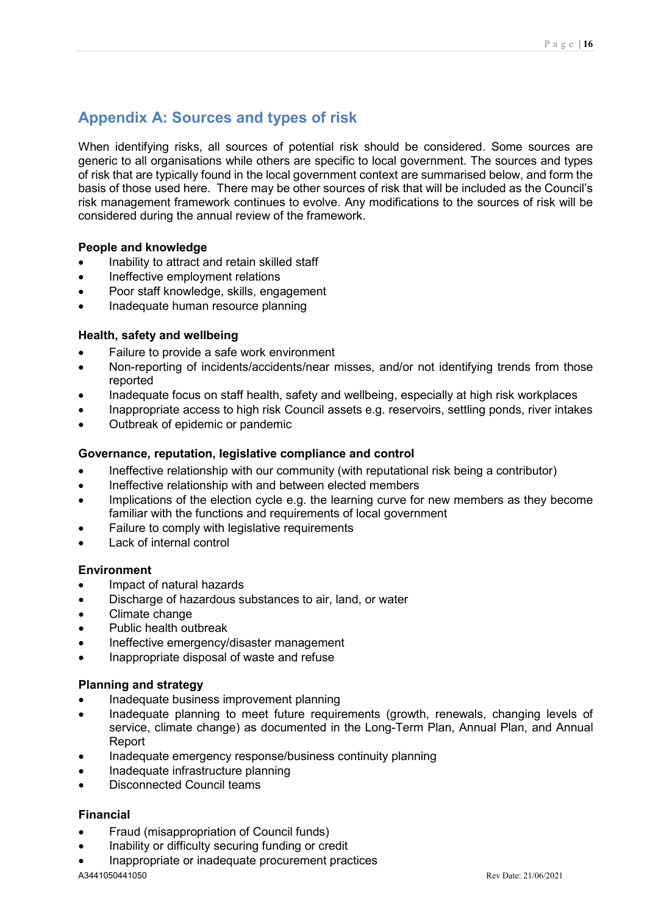# <span id="page-15-0"></span>**Appendix A: Sources and types of risk**

When identifying risks, all sources of potential risk should be considered. Some sources are generic to all organisations while others are specific to local government. The sources and types of risk that are typically found in the local government context are summarised below, and form the basis of those used here. There may be other sources of risk that will be included as the Council's risk management framework continues to evolve. Any modifications to the sources of risk will be considered during the annual review of the framework.

#### **People and knowledge**

- Inability to attract and retain skilled staff
- Ineffective employment relations
- Poor staff knowledge, skills, engagement
- Inadequate human resource planning

#### **Health, safety and wellbeing**

- Failure to provide a safe work environment
- Non-reporting of incidents/accidents/near misses, and/or not identifying trends from those reported
- Inadequate focus on staff health, safety and wellbeing, especially at high risk workplaces
- Inappropriate access to high risk Council assets e.g. reservoirs, settling ponds, river intakes
- Outbreak of epidemic or pandemic

#### **Governance, reputation, legislative compliance and control**

- Ineffective relationship with our community (with reputational risk being a contributor)
- Ineffective relationship with and between elected members
- Implications of the election cycle e.g. the learning curve for new members as they become familiar with the functions and requirements of local government
- Failure to comply with legislative requirements
- Lack of internal control

#### **Environment**

- Impact of natural hazards
- Discharge of hazardous substances to air, land, or water
- Climate change
- Public health outbreak
- Ineffective emergency/disaster management
- Inappropriate disposal of waste and refuse

#### **Planning and strategy**

- Inadequate business improvement planning
- Inadequate planning to meet future requirements (growth, renewals, changing levels of service, climate change) as documented in the Long-Term Plan, Annual Plan, and Annual Report
- Inadequate emergency response/business continuity planning
- Inadequate infrastructure planning
- Disconnected Council teams

#### **Financial**

- Fraud (misappropriation of Council funds)
- Inability or difficulty securing funding or credit
- Inappropriate or inadequate procurement practices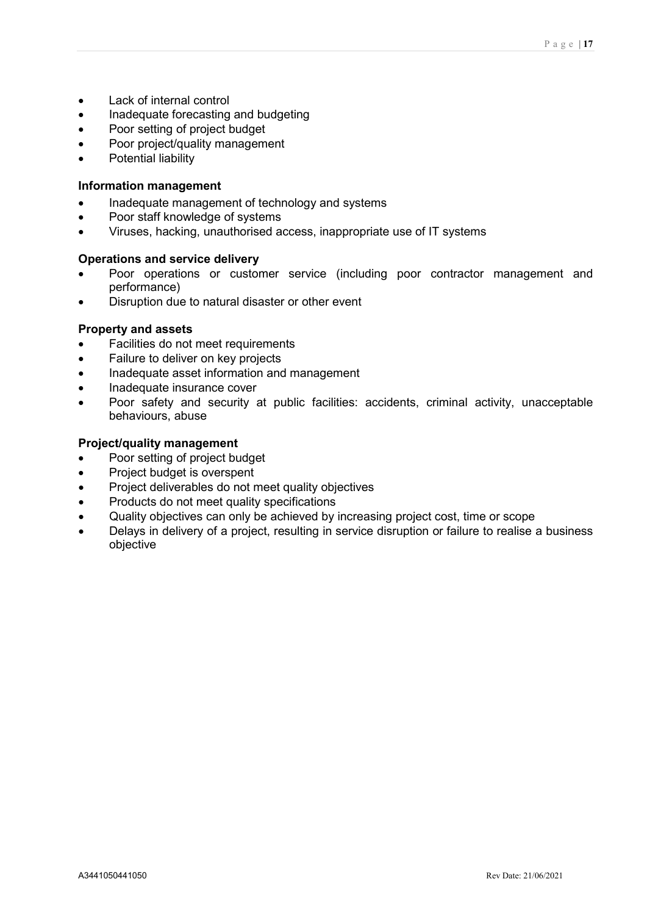- Lack of internal control
- Inadequate forecasting and budgeting
- Poor setting of project budget
- Poor project/quality management
- Potential liability

#### **Information management**

- Inadequate management of technology and systems
- Poor staff knowledge of systems
- Viruses, hacking, unauthorised access, inappropriate use of IT systems

#### **Operations and service delivery**

- Poor operations or customer service (including poor contractor management and performance)
- Disruption due to natural disaster or other event

#### **Property and assets**

- Facilities do not meet requirements
- Failure to deliver on key projects
- Inadequate asset information and management
- Inadequate insurance cover
- Poor safety and security at public facilities: accidents, criminal activity, unacceptable behaviours, abuse

#### **Project/quality management**

- Poor setting of project budget
- Project budget is overspent
- Project deliverables do not meet quality objectives
- Products do not meet quality specifications
- Quality objectives can only be achieved by increasing project cost, time or scope
- Delays in delivery of a project, resulting in service disruption or failure to realise a business objective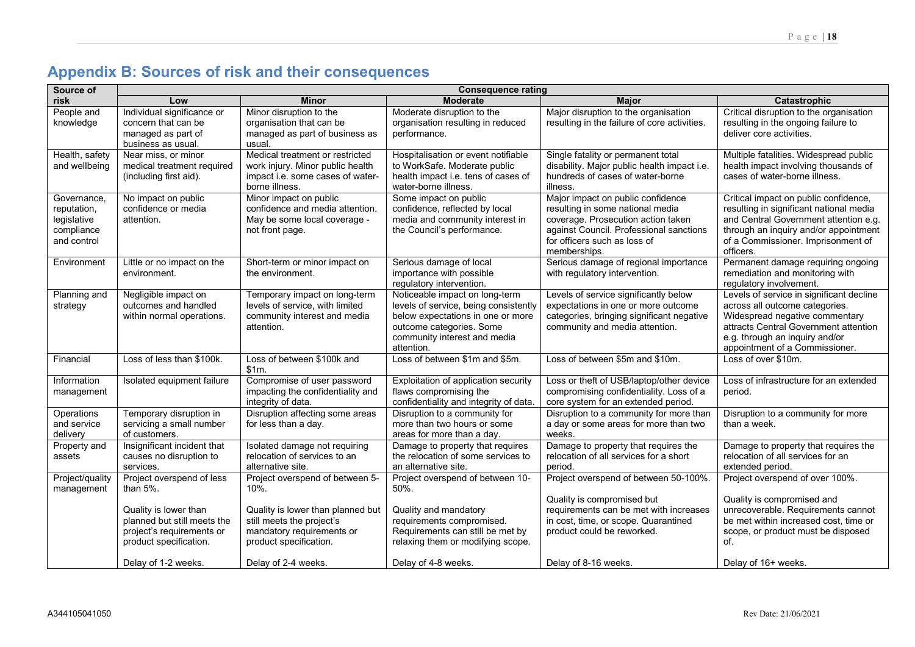# **Appendix B: Sources of risk and their consequences**

<span id="page-17-0"></span>

| Source of                                                              | <b>Consequence rating</b>                                                                                                                               |                                                                                                                                                                  |                                                                                                                                                                                        |                                                                                                                                                                                                        |                                                                                                                                                                                                                           |
|------------------------------------------------------------------------|---------------------------------------------------------------------------------------------------------------------------------------------------------|------------------------------------------------------------------------------------------------------------------------------------------------------------------|----------------------------------------------------------------------------------------------------------------------------------------------------------------------------------------|--------------------------------------------------------------------------------------------------------------------------------------------------------------------------------------------------------|---------------------------------------------------------------------------------------------------------------------------------------------------------------------------------------------------------------------------|
| risk                                                                   | Low                                                                                                                                                     | <b>Minor</b>                                                                                                                                                     | <b>Moderate</b>                                                                                                                                                                        | <b>Major</b>                                                                                                                                                                                           | Catastrophic                                                                                                                                                                                                              |
| People and<br>knowledge                                                | Individual significance or<br>concern that can be<br>managed as part of<br>business as usual.                                                           | Minor disruption to the<br>organisation that can be<br>managed as part of business as<br>usual.                                                                  | Moderate disruption to the<br>organisation resulting in reduced<br>performance.                                                                                                        | Major disruption to the organisation<br>resulting in the failure of core activities.                                                                                                                   | Critical disruption to the organisation<br>resulting in the ongoing failure to<br>deliver core activities.                                                                                                                |
| Health, safety<br>and wellbeing                                        | Near miss, or minor<br>medical treatment required<br>(including first aid).                                                                             | Medical treatment or restricted<br>work injury. Minor public health<br>impact i.e. some cases of water-<br>borne illness.                                        | Hospitalisation or event notifiable<br>to WorkSafe. Moderate public<br>health impact i.e. tens of cases of<br>water-borne illness.                                                     | Single fatality or permanent total<br>disability. Major public health impact i.e.<br>hundreds of cases of water-borne<br>illness.                                                                      | Multiple fatalities. Widespread public<br>health impact involving thousands of<br>cases of water-borne illness.                                                                                                           |
| Governance,<br>reputation,<br>legislative<br>compliance<br>and control | No impact on public<br>confidence or media<br>attention.                                                                                                | Minor impact on public<br>confidence and media attention.<br>May be some local coverage -<br>not front page.                                                     | Some impact on public<br>confidence, reflected by local<br>media and community interest in<br>the Council's performance.                                                               | Major impact on public confidence<br>resulting in some national media<br>coverage. Prosecution action taken<br>against Council. Professional sanctions<br>for officers such as loss of<br>memberships. | Critical impact on public confidence,<br>resulting in significant national media<br>and Central Government attention e.g.<br>through an inquiry and/or appointment<br>of a Commissioner. Imprisonment of<br>officers.     |
| Environment                                                            | Little or no impact on the<br>environment.                                                                                                              | Short-term or minor impact on<br>the environment.                                                                                                                | Serious damage of local<br>importance with possible<br>regulatory intervention.                                                                                                        | Serious damage of regional importance<br>with regulatory intervention.                                                                                                                                 | Permanent damage requiring ongoing<br>remediation and monitoring with<br>regulatory involvement.                                                                                                                          |
| Planning and<br>strategy                                               | Negligible impact on<br>outcomes and handled<br>within normal operations.                                                                               | Temporary impact on long-term<br>levels of service, with limited<br>community interest and media<br>attention.                                                   | Noticeable impact on long-term<br>levels of service, being consistently<br>below expectations in one or more<br>outcome categories. Some<br>community interest and media<br>attention. | Levels of service significantly below<br>expectations in one or more outcome<br>categories, bringing significant negative<br>community and media attention.                                            | Levels of service in significant decline<br>across all outcome categories.<br>Widespread negative commentary<br>attracts Central Government attention<br>e.g. through an inquiry and/or<br>appointment of a Commissioner. |
| Financial                                                              | Loss of less than \$100k.                                                                                                                               | Loss of between \$100k and<br>$$1m$ .                                                                                                                            | Loss of between \$1m and \$5m.                                                                                                                                                         | Loss of between \$5m and \$10m.                                                                                                                                                                        | Loss of over \$10m.                                                                                                                                                                                                       |
| Information<br>management                                              | Isolated equipment failure                                                                                                                              | Compromise of user password<br>impacting the confidentiality and<br>integrity of data.                                                                           | Exploitation of application security<br>flaws compromising the<br>confidentiality and integrity of data.                                                                               | Loss or theft of USB/laptop/other device<br>compromising confidentiality. Loss of a<br>core system for an extended period.                                                                             | Loss of infrastructure for an extended<br>period.                                                                                                                                                                         |
| Operations<br>and service<br>delivery                                  | Temporary disruption in<br>servicing a small number<br>of customers.                                                                                    | Disruption affecting some areas<br>for less than a day.                                                                                                          | Disruption to a community for<br>more than two hours or some<br>areas for more than a day.                                                                                             | Disruption to a community for more than<br>a day or some areas for more than two<br>weeks.                                                                                                             | Disruption to a community for more<br>than a week.                                                                                                                                                                        |
| Property and<br>assets                                                 | Insignificant incident that<br>causes no disruption to<br>services.                                                                                     | Isolated damage not requiring<br>relocation of services to an<br>alternative site.                                                                               | Damage to property that requires<br>the relocation of some services to<br>an alternative site.                                                                                         | Damage to property that requires the<br>relocation of all services for a short<br>period.                                                                                                              | Damage to property that requires the<br>relocation of all services for an<br>extended period.                                                                                                                             |
| Project/quality<br>management                                          | Project overspend of less<br>than $5%$ .<br>Quality is lower than<br>planned but still meets the<br>project's requirements or<br>product specification. | Project overspend of between 5-<br>10%.<br>Quality is lower than planned but<br>still meets the project's<br>mandatory requirements or<br>product specification. | Project overspend of between 10-<br>50%.<br>Quality and mandatory<br>requirements compromised.<br>Requirements can still be met by<br>relaxing them or modifying scope.                | Project overspend of between 50-100%.<br>Quality is compromised but<br>requirements can be met with increases<br>in cost, time, or scope. Quarantined<br>product could be reworked.                    | Project overspend of over 100%.<br>Quality is compromised and<br>unrecoverable. Requirements cannot<br>be met within increased cost, time or<br>scope, or product must be disposed<br>of.                                 |
|                                                                        | Delay of 1-2 weeks.                                                                                                                                     | Delay of 2-4 weeks.                                                                                                                                              | Delay of 4-8 weeks.                                                                                                                                                                    | Delay of 8-16 weeks.                                                                                                                                                                                   | Delay of 16+ weeks.                                                                                                                                                                                                       |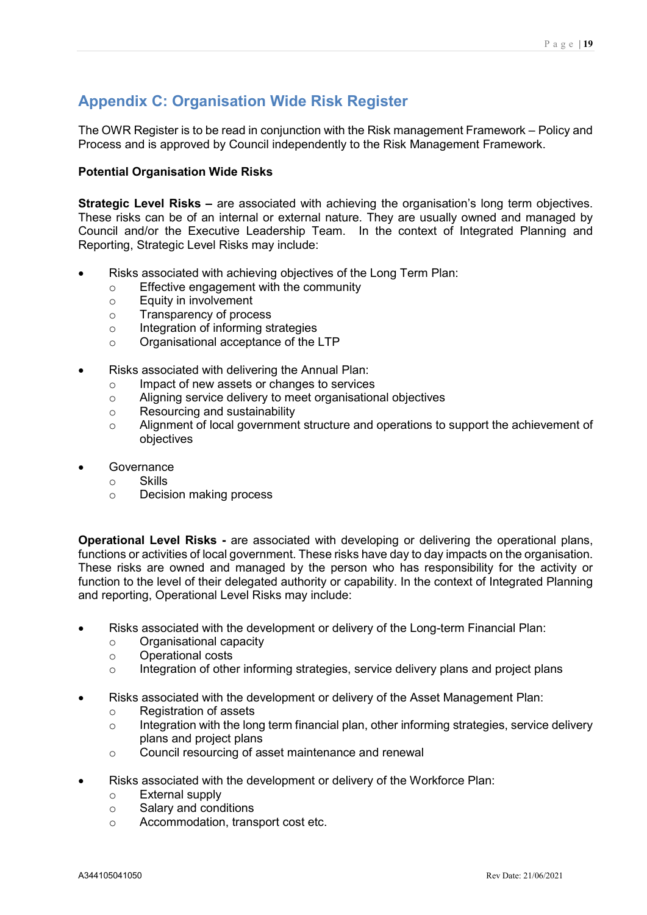# <span id="page-18-0"></span>**Appendix C: Organisation Wide Risk Register**

The OWR Register is to be read in conjunction with the Risk management Framework – Policy and Process and is approved by Council independently to the Risk Management Framework.

#### **Potential Organisation Wide Risks**

**Strategic Level Risks –** are associated with achieving the organisation's long term objectives. These risks can be of an internal or external nature. They are usually owned and managed by Council and/or the Executive Leadership Team. In the context of Integrated Planning and Reporting, Strategic Level Risks may include:

- Risks associated with achieving objectives of the Long Term Plan:
	- $\circ$  Effective engagement with the community<br>  $\circ$  Equity in involvement
	- o Equity in involvement<br>
	o Transparency of proce
	- Transparency of process
	- o Integration of informing strategies
	- o Organisational acceptance of the LTP
- Risks associated with delivering the Annual Plan:
	- o Impact of new assets or changes to services<br>
	o Aligning service delivery to meet organisation
	- o Aligning service delivery to meet organisational objectives  $\circ$  Resourcing and sustainability
	- Resourcing and sustainability
	- o Alignment of local government structure and operations to support the achievement of objectives
- **Governance** 
	- o Skills<br>o Decis
	- Decision making process

**Operational Level Risks -** are associated with developing or delivering the operational plans, functions or activities of local government. These risks have day to day impacts on the organisation. These risks are owned and managed by the person who has responsibility for the activity or function to the level of their delegated authority or capability. In the context of Integrated Planning and reporting, Operational Level Risks may include:

- Risks associated with the development or delivery of the Long-term Financial Plan:
	- o Organisational capacity
	- o Operational costs<br>
	o Integration of other
	- Integration of other informing strategies, service delivery plans and project plans
- Risks associated with the development or delivery of the Asset Management Plan:
	- o Registration of assets
	- $\circ$  Integration with the long term financial plan, other informing strategies, service delivery plans and project plans
	- o Council resourcing of asset maintenance and renewal
- Risks associated with the development or delivery of the Workforce Plan:
	- External supply<br>○ Salarv and cond
	- Salary and conditions
	- o Accommodation, transport cost etc.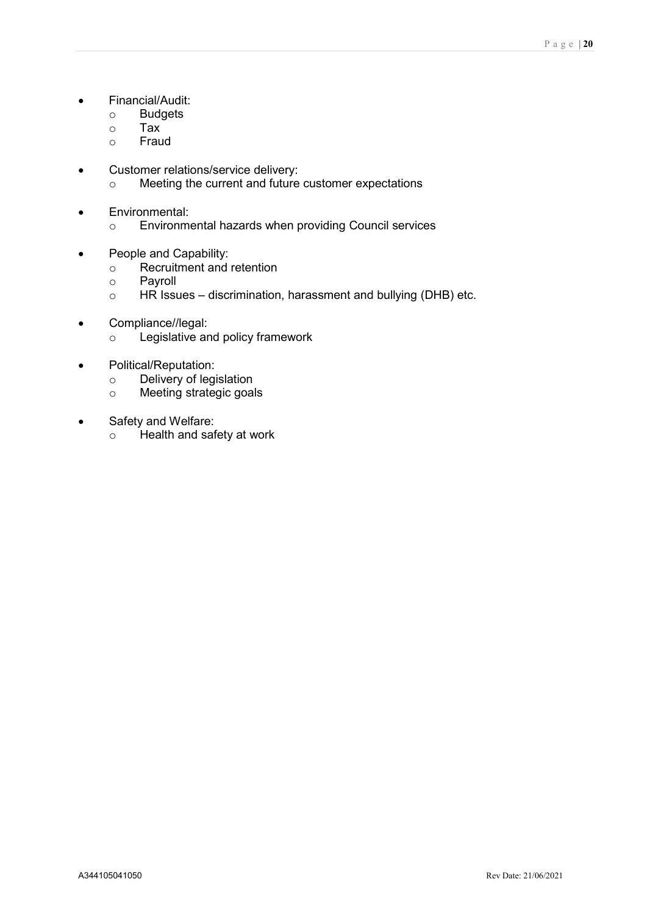- Financial/Audit:
	- o Budgets
	- **Tax**
	- o Fraud
- Customer relations/service delivery:
	- o Meeting the current and future customer expectations
- Environmental:
	- o Environmental hazards when providing Council services
- People and Capability:
	- $\circ$  Recruitment and retention
	- o **Payroll**<br>○ HR Issu
	- HR Issues discrimination, harassment and bullying (DHB) etc.
- Compliance//legal:
	- o Legislative and policy framework
- Political/Reputation:
	- o Delivery of legislation<br>
	o Meeting strategic goal
	- Meeting strategic goals
- Safety and Welfare:
	- o Health and safety at work